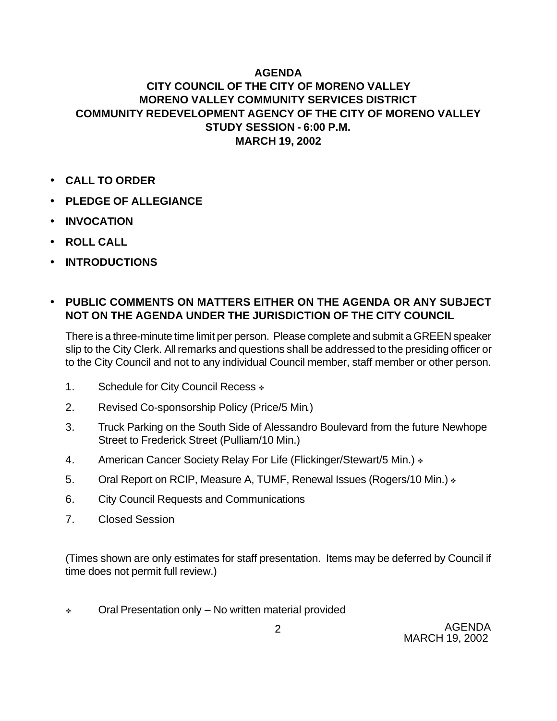## **AGENDA**

## **CITY COUNCIL OF THE CITY OF MORENO VALLEY MORENO VALLEY COMMUNITY SERVICES DISTRICT COMMUNITY REDEVELOPMENT AGENCY OF THE CITY OF MORENO VALLEY STUDY SESSION - 6:00 P.M. MARCH 19, 2002**

- **CALL TO ORDER**
- **PLEDGE OF ALLEGIANCE**
- **INVOCATION**
- **ROLL CALL**
- **INTRODUCTIONS**

## • **PUBLIC COMMENTS ON MATTERS EITHER ON THE AGENDA OR ANY SUBJECT NOT ON THE AGENDA UNDER THE JURISDICTION OF THE CITY COUNCIL**

There is a three-minute time limit per person. Please complete and submit a GREEN speaker slip to the City Clerk. All remarks and questions shall be addressed to the presiding officer or to the City Council and not to any individual Council member, staff member or other person.

- 1. Schedule for City Council Recess  $\cdot$
- 2. Revised Co-sponsorship Policy (Price/5 Min*.*)
- 3. Truck Parking on the South Side of Alessandro Boulevard from the future Newhope Street to Frederick Street (Pulliam/10 Min.)
- 4. American Cancer Society Relay For Life (Flickinger/Stewart/5 Min.)  $\ast$
- 5. Oral Report on RCIP, Measure A, TUMF, Renewal Issues (Rogers/10 Min.)  $\ast$
- 6. City Council Requests and Communications
- 7. Closed Session

(Times shown are only estimates for staff presentation. Items may be deferred by Council if time does not permit full review.)

• Oral Presentation only – No written material provided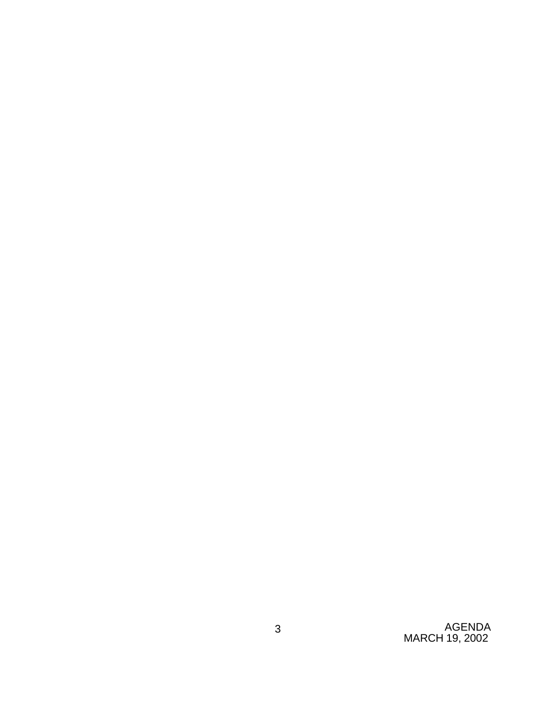AGENDA MARCH 19, 2002